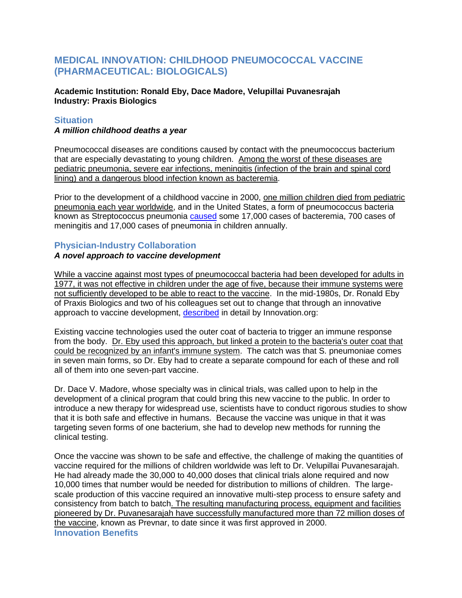# **MEDICAL INNOVATION: CHILDHOOD PNEUMOCOCCAL VACCINE (PHARMACEUTICAL: BIOLOGICALS)**

**Academic Institution: Ronald Eby, Dace Madore, Velupillai Puvanesrajah Industry: Praxis Biologics**

## **Situation**

### *A million childhood deaths a year*

Pneumococcal diseases are conditions caused by contact with the pneumococcus bacterium that are especially devastating to young children. Among the worst of these diseases are pediatric pneumonia, severe ear infections, meningitis (infection of the brain and spinal cord lining) and a dangerous blood infection known as bacteremia.

Prior to the development of a childhood vaccine in 2000, one million children died from pediatric pneumonia each year worldwide, and in the United States, a form of pneumococcus bacteria known as Streptococcus pneumonia [caused](http://www.historyofvaccines.org/content/blog/childhood-pneumococcal-vaccine-updated) some 17,000 cases of bacteremia, 700 cases of meningitis and 17,000 cases of pneumonia in children annually.

## **Physician-Industry Collaboration**

### *A novel approach to vaccine development*

While a vaccine against most types of pneumococcal bacteria had been developed for adults in 1977, it was not effective in children under the age of five, because their immune systems were not sufficiently developed to be able to react to the vaccine. In the mid-1980s, Dr. Ronald Eby of Praxis Biologics and two of his colleagues set out to change that through an innovative approach to vaccine development, [described](http://www.innovation.org/index.cfm/StoriesofInnovation/InnovatorStories/The_Story_of_Prevnar) in detail by Innovation.org:

Existing vaccine technologies used the outer coat of bacteria to trigger an immune response from the body. Dr. Eby used this approach, but linked a protein to the bacteria's outer coat that could be recognized by an infant's immune system. The catch was that S. pneumoniae comes in seven main forms, so Dr. Eby had to create a separate compound for each of these and roll all of them into one seven-part vaccine.

Dr. Dace V. Madore, whose specialty was in clinical trials, was called upon to help in the development of a clinical program that could bring this new vaccine to the public. In order to introduce a new therapy for widespread use, scientists have to conduct rigorous studies to show that it is both safe and effective in humans. Because the vaccine was unique in that it was targeting seven forms of one bacterium, she had to develop new methods for running the clinical testing.

Once the vaccine was shown to be safe and effective, the challenge of making the quantities of vaccine required for the millions of children worldwide was left to Dr. Velupillai Puvanesarajah. He had already made the 30,000 to 40,000 doses that clinical trials alone required and now 10,000 times that number would be needed for distribution to millions of children. The largescale production of this vaccine required an innovative multi-step process to ensure safety and consistency from batch to batch. The resulting manufacturing process, equipment and facilities pioneered by Dr. Puvanesarajah have successfully manufactured more than 72 million doses of the vaccine, known as Prevnar, to date since it was first approved in 2000. **Innovation Benefits**